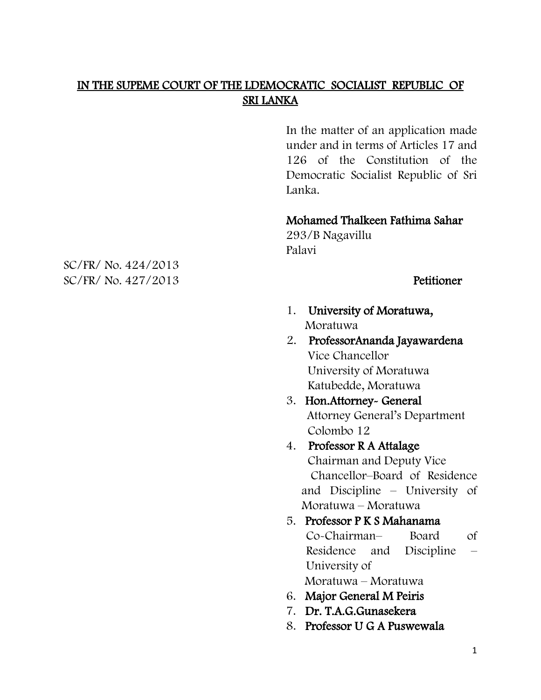# IN THE SUPEME COURT OF THE LDEMOCRATIC SOCIALIST REPUBLIC OF SRI LANKA

In the matter of an application made under and in terms of Articles 17 and 126 of the Constitution of the Democratic Socialist Republic of Sri Lanka.

#### Mohamed Thalkeen Fathima Sahar

293/B Nagavillu Palavi

- 1. University of Moratuwa, Moratuwa
- 2. ProfessorAnanda Jayawardena Vice Chancellor University of Moratuwa Katubedde, Moratuwa
- 3. Hon.Attorney- General Attorney General"s Department Colombo 12
- 4. Professor R A Attalage Chairman and Deputy Vice Chancellor–Board of Residence and Discipline – University of Moratuwa – Moratuwa

### 5. Professor P K S Mahanama Co-Chairman– Board of Residence and Discipline – University of

Moratuwa – Moratuwa

- 6. Major General M Peiris
- 7. Dr. T.A.G.Gunasekera
- 8. Professor U G A Puswewala

SC/FR/ No. 424/2013 SC/FR/ No. 427/2013 Petitioner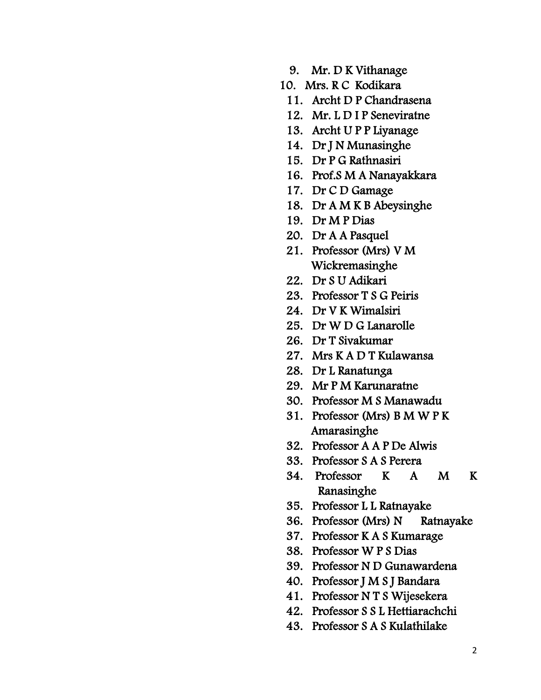- 9. Mr. D K Vithanage
- 10. Mrs. R C Kodikara
- 11. Archt D P Chandrasena
- 12. Mr. L D I P Seneviratne
- 13. Archt U P P Liyanage
- 14. Dr J N Munasinghe
- 15. Dr P G Rathnasiri
- 16. Prof.S M A Nanayakkara
- 17. Dr C D Gamage
- 18. Dr A M K B Abeysinghe
- 19. Dr M P Dias
- 20. Dr A A Pasquel
- 21. Professor (Mrs) V M Wickremasinghe
- 22. Dr S U Adikari
- 23. Professor T S G Peiris
- 24. Dr V K Wimalsiri
- 25. Dr W D G Lanarolle
- 26. Dr T Sivakumar
- 27. Mrs K A D T Kulawansa
- 28. Dr L Ranatunga
- 29. Mr P M Karunaratne
- 30. Professor M S Manawadu
- 31. Professor (Mrs) B M W P K Amarasinghe
- 32. Professor A A P De Alwis
- 33. Professor S A S Perera
- 34. Professor K A M K Ranasinghe
- 35. Professor L L Ratnayake
- 36. Professor (Mrs) N Ratnayake
- 37. Professor K A S Kumarage
- 38. Professor W P S Dias
- 39. Professor N D Gunawardena
- 40. Professor J M S J Bandara
- 41. Professor N T S Wijesekera
- 42. Professor S S L Hettiarachchi
- 43. Professor S A S Kulathilake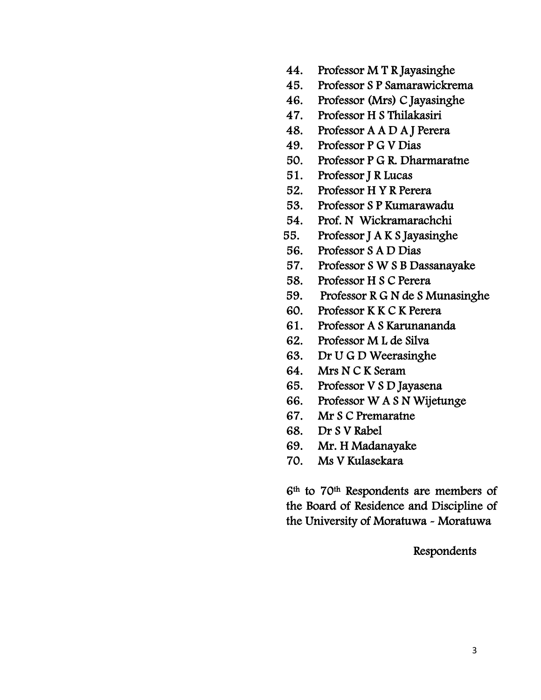- 44. Professor M T R Jayasinghe
- 45. Professor S P Samarawickrema
- 46. Professor (Mrs) C Jayasinghe
- 47. Professor H S Thilakasiri
- 48. Professor A A D A J Perera
- 49. Professor P G V Dias
- 50. Professor P G R. Dharmaratne
- 51. Professor J R Lucas
- 52. Professor H Y R Perera
- 53. Professor S P Kumarawadu
- 54. Prof. N Wickramarachchi
- 55. Professor J A K S Jayasinghe
- 56. Professor S A D Dias
- 57. Professor S W S B Dassanayake
- 58. Professor H S C Perera
- 59. Professor R G N de S Munasinghe
- 60. Professor K K C K Perera
- 61. Professor A S Karunananda
- 62. Professor M L de Silva
- 63. Dr U G D Weerasinghe
- 64. Mrs N C K Seram
- 65. Professor V S D Jayasena
- 66. Professor W A S N Wijetunge
- 67. Mr S C Premaratne
- 68. Dr S V Rabel
- 69. Mr. H Madanayake
- 70. Ms V Kulasekara

6th to 70th Respondents are members of the Board of Residence and Discipline of the University of Moratuwa - Moratuwa

Respondents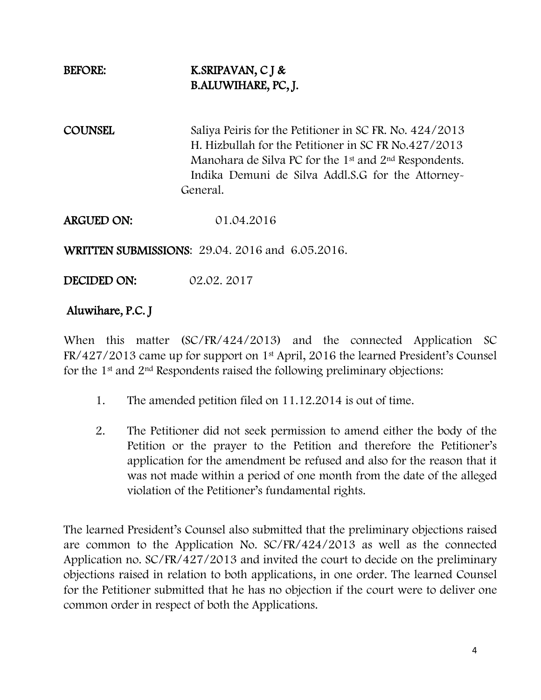# BEFORE: K.SRIPAVAN, C J & B.ALUWIHARE, PC, J.

COUNSEL Saliya Peiris for the Petitioner in SC FR. No. 424/2013 H. Hizbullah for the Petitioner in SC FR No.427/2013 Manohara de Silva PC for the 1st and 2nd Respondents. Indika Demuni de Silva Addl.S.G for the Attorney- General.

ARGUED ON: 01.04.2016

WRITTEN SUBMISSIONS: 29.04. 2016 and 6.05.2016.

DECIDED ON: 02.02. 2017

## Aluwihare, P.C. J

When this matter (SC/FR/424/2013) and the connected Application SC FR/427/2013 came up for support on 1st April, 2016 the learned President"s Counsel for the 1st and 2nd Respondents raised the following preliminary objections:

- 1. The amended petition filed on 11.12.2014 is out of time.
- 2. The Petitioner did not seek permission to amend either the body of the Petition or the prayer to the Petition and therefore the Petitioner"s application for the amendment be refused and also for the reason that it was not made within a period of one month from the date of the alleged violation of the Petitioner"s fundamental rights.

The learned President"s Counsel also submitted that the preliminary objections raised are common to the Application No. SC/FR/424/2013 as well as the connected Application no. SC/FR/427/2013 and invited the court to decide on the preliminary objections raised in relation to both applications, in one order. The learned Counsel for the Petitioner submitted that he has no objection if the court were to deliver one common order in respect of both the Applications.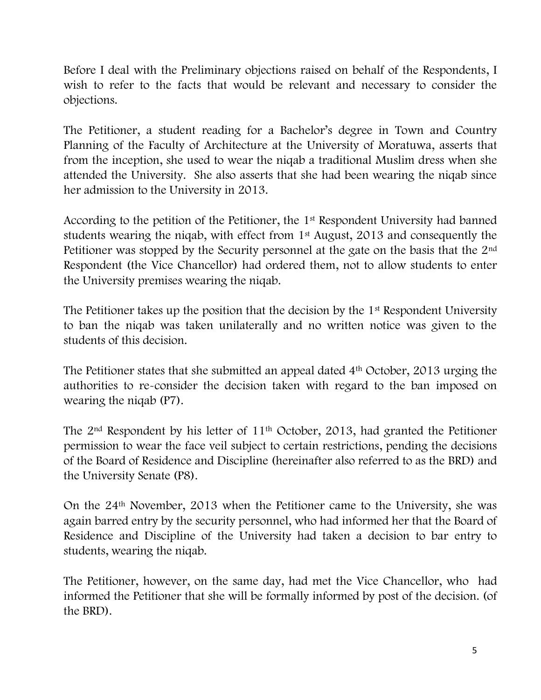Before I deal with the Preliminary objections raised on behalf of the Respondents, I wish to refer to the facts that would be relevant and necessary to consider the objections.

The Petitioner, a student reading for a Bachelor's degree in Town and Country Planning of the Faculty of Architecture at the University of Moratuwa, asserts that from the inception, she used to wear the niqab a traditional Muslim dress when she attended the University. She also asserts that she had been wearing the niqab since her admission to the University in 2013.

According to the petition of the Petitioner, the 1st Respondent University had banned students wearing the niqab, with effect from 1st August, 2013 and consequently the Petitioner was stopped by the Security personnel at the gate on the basis that the 2<sup>nd</sup> Respondent (the Vice Chancellor) had ordered them, not to allow students to enter the University premises wearing the niqab.

The Petitioner takes up the position that the decision by the 1<sup>st</sup> Respondent University to ban the niqab was taken unilaterally and no written notice was given to the students of this decision.

The Petitioner states that she submitted an appeal dated 4<sup>th</sup> October, 2013 urging the authorities to re-consider the decision taken with regard to the ban imposed on wearing the niqab (P7).

The 2nd Respondent by his letter of 11th October, 2013, had granted the Petitioner permission to wear the face veil subject to certain restrictions, pending the decisions of the Board of Residence and Discipline (hereinafter also referred to as the BRD) and the University Senate (P8).

On the 24th November, 2013 when the Petitioner came to the University, she was again barred entry by the security personnel, who had informed her that the Board of Residence and Discipline of the University had taken a decision to bar entry to students, wearing the niqab.

The Petitioner, however, on the same day, had met the Vice Chancellor, who had informed the Petitioner that she will be formally informed by post of the decision. (of the BRD).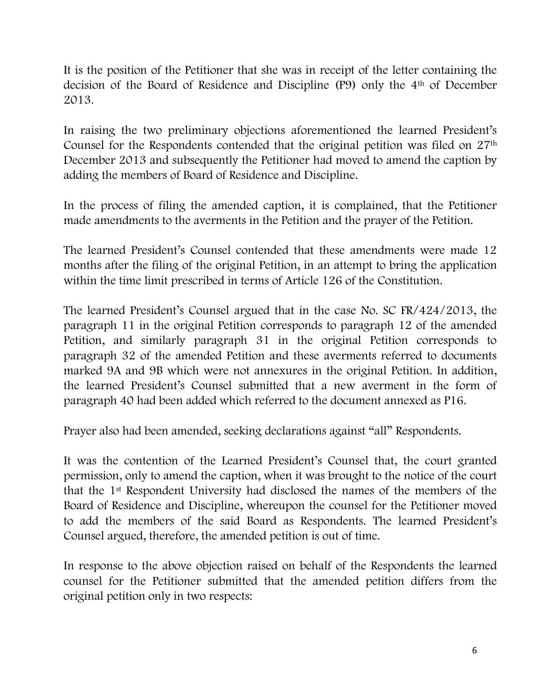It is the position of the Petitioner that she was in receipt of the letter containing the decision of the Board of Residence and Discipline (P9) only the 4th of December 2013.

In raising the two preliminary objections aforementioned the learned President"s Counsel for the Respondents contended that the original petition was filed on 27th December 2013 and subsequently the Petitioner had moved to amend the caption by adding the members of Board of Residence and Discipline.

In the process of filing the amended caption, it is complained, that the Petitioner made amendments to the averments in the Petition and the prayer of the Petition.

The learned President's Counsel contended that these amendments were made 12 months after the filing of the original Petition, in an attempt to bring the application within the time limit prescribed in terms of Article 126 of the Constitution.

The learned President"s Counsel argued that in the case No. SC FR/424/2013, the paragraph 11 in the original Petition corresponds to paragraph 12 of the amended Petition, and similarly paragraph 31 in the original Petition corresponds to paragraph 32 of the amended Petition and these averments referred to documents marked 9A and 9B which were not annexures in the original Petition. In addition, the learned President"s Counsel submitted that a new averment in the form of paragraph 40 had been added which referred to the document annexed as P16.

Prayer also had been amended, seeking declarations against "all" Respondents.

It was the contention of the Learned President's Counsel that, the court granted permission, only to amend the caption, when it was brought to the notice of the court that the 1st Respondent University had disclosed the names of the members of the Board of Residence and Discipline, whereupon the counsel for the Petitioner moved to add the members of the said Board as Respondents. The learned President"s Counsel argued, therefore, the amended petition is out of time.

In response to the above objection raised on behalf of the Respondents the learned counsel for the Petitioner submitted that the amended petition differs from the original petition only in two respects: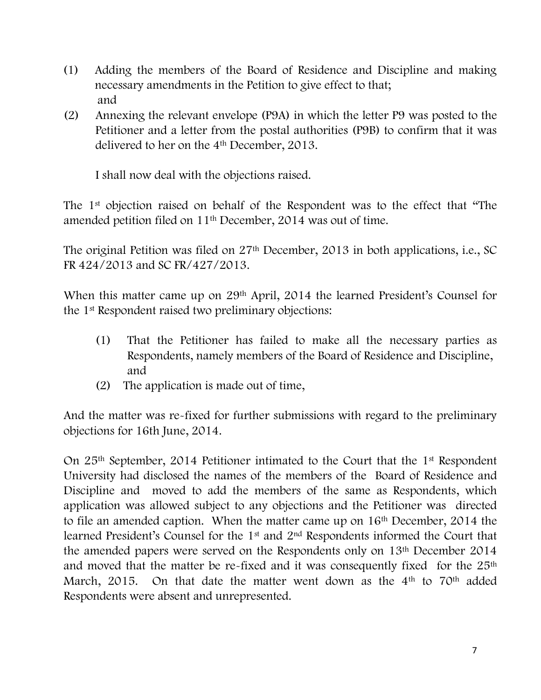- (1) Adding the members of the Board of Residence and Discipline and making necessary amendments in the Petition to give effect to that; and
- (2) Annexing the relevant envelope (P9A) in which the letter P9 was posted to the Petitioner and a letter from the postal authorities (P9B) to confirm that it was delivered to her on the 4<sup>th</sup> December, 2013.

I shall now deal with the objections raised.

The 1st objection raised on behalf of the Respondent was to the effect that "The amended petition filed on 11th December, 2014 was out of time.

The original Petition was filed on 27th December, 2013 in both applications, i.e., SC FR 424/2013 and SC FR/427/2013.

When this matter came up on 29<sup>th</sup> April, 2014 the learned President's Counsel for the 1st Respondent raised two preliminary objections:

- (1) That the Petitioner has failed to make all the necessary parties as Respondents, namely members of the Board of Residence and Discipline, and
- (2) The application is made out of time,

And the matter was re-fixed for further submissions with regard to the preliminary objections for 16th June, 2014.

On 25th September, 2014 Petitioner intimated to the Court that the 1st Respondent University had disclosed the names of the members of the Board of Residence and Discipline and moved to add the members of the same as Respondents, which application was allowed subject to any objections and the Petitioner was directed to file an amended caption. When the matter came up on 16th December, 2014 the learned President"s Counsel for the 1st and 2nd Respondents informed the Court that the amended papers were served on the Respondents only on 13th December 2014 and moved that the matter be re-fixed and it was consequently fixed for the 25<sup>th</sup> March, 2015. On that date the matter went down as the 4<sup>th</sup> to 70<sup>th</sup> added Respondents were absent and unrepresented.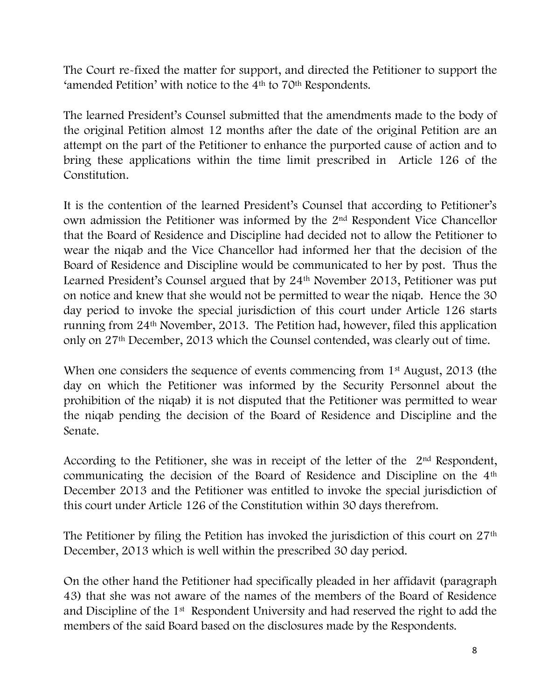The Court re-fixed the matter for support, and directed the Petitioner to support the 'amended Petition' with notice to the 4<sup>th</sup> to 70<sup>th</sup> Respondents.

The learned President's Counsel submitted that the amendments made to the body of the original Petition almost 12 months after the date of the original Petition are an attempt on the part of the Petitioner to enhance the purported cause of action and to bring these applications within the time limit prescribed in Article 126 of the Constitution.

It is the contention of the learned President"s Counsel that according to Petitioner"s own admission the Petitioner was informed by the 2nd Respondent Vice Chancellor that the Board of Residence and Discipline had decided not to allow the Petitioner to wear the niqab and the Vice Chancellor had informed her that the decision of the Board of Residence and Discipline would be communicated to her by post. Thus the Learned President's Counsel argued that by 24<sup>th</sup> November 2013, Petitioner was put on notice and knew that she would not be permitted to wear the niqab. Hence the 30 day period to invoke the special jurisdiction of this court under Article 126 starts running from 24th November, 2013. The Petition had, however, filed this application only on 27th December, 2013 which the Counsel contended, was clearly out of time.

When one considers the sequence of events commencing from 1<sup>st</sup> August, 2013 (the day on which the Petitioner was informed by the Security Personnel about the prohibition of the niqab) it is not disputed that the Petitioner was permitted to wear the niqab pending the decision of the Board of Residence and Discipline and the Senate.

According to the Petitioner, she was in receipt of the letter of the 2<sup>nd</sup> Respondent, communicating the decision of the Board of Residence and Discipline on the 4th December 2013 and the Petitioner was entitled to invoke the special jurisdiction of this court under Article 126 of the Constitution within 30 days therefrom.

The Petitioner by filing the Petition has invoked the jurisdiction of this court on 27<sup>th</sup> December, 2013 which is well within the prescribed 30 day period.

On the other hand the Petitioner had specifically pleaded in her affidavit (paragraph 43) that she was not aware of the names of the members of the Board of Residence and Discipline of the 1st Respondent University and had reserved the right to add the members of the said Board based on the disclosures made by the Respondents.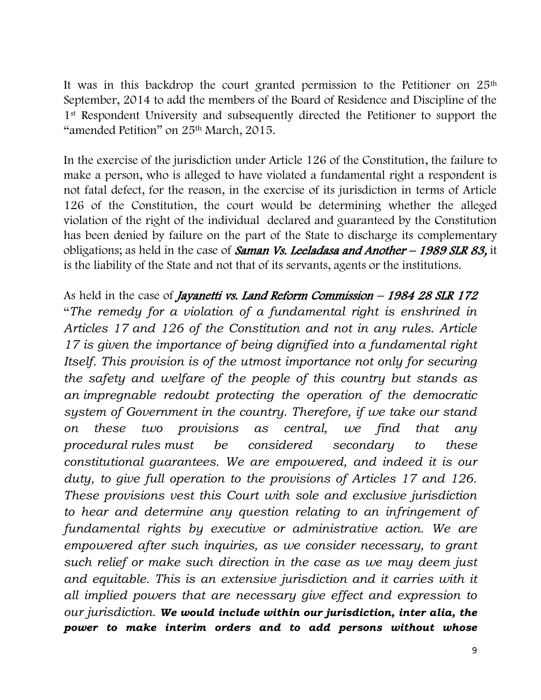It was in this backdrop the court granted permission to the Petitioner on 25<sup>th</sup> September, 2014 to add the members of the Board of Residence and Discipline of the 1st Respondent University and subsequently directed the Petitioner to support the "amended Petition" on 25th March, 2015.

In the exercise of the jurisdiction under Article 126 of the Constitution, the failure to make a person, who is alleged to have violated a fundamental right a respondent is not fatal defect, for the reason, in the exercise of its jurisdiction in terms of Article 126 of the Constitution, the court would be determining whether the alleged violation of the right of the individual declared and guaranteed by the Constitution has been denied by failure on the part of the State to discharge its complementary obligations; as held in the case of Saman Vs. Leeladasa and Another - 1989 SLR 83, it is the liability of the State and not that of its servants, agents or the institutions.

As held in the case of *Jayanetti vs. Land Reform Commission – 1984 28 SLR 172* "*The remedy for a violation of a fundamental right is enshrined in Articles 17 and 126 of the Constitution and not in any rules. Article 17 is given the importance of being dignified into a fundamental right Itself. This provision is of the utmost importance not only for securing the safety and welfare of the people of this country but stands as an impregnable redoubt protecting the operation of the democratic system of Government in the country. Therefore, if we take our stand on these two provisions as central, we find that any procedural rules must be considered secondary to these constitutional guarantees. We are empowered, and indeed it is our duty, to give full operation to the provisions of Articles 17 and 126. These provisions vest this Court with sole and exclusive jurisdiction to hear and determine any question relating to an infringement of fundamental rights by executive or administrative action. We are empowered after such inquiries, as we consider necessary, to grant such relief or make such direction in the case as we may deem just*  and equitable. This is an extensive jurisdiction and it carries with it *all implied powers that are necessary give effect and expression to our jurisdiction. We would include within our jurisdiction, inter alia, the power to make interim orders and to add persons without whose*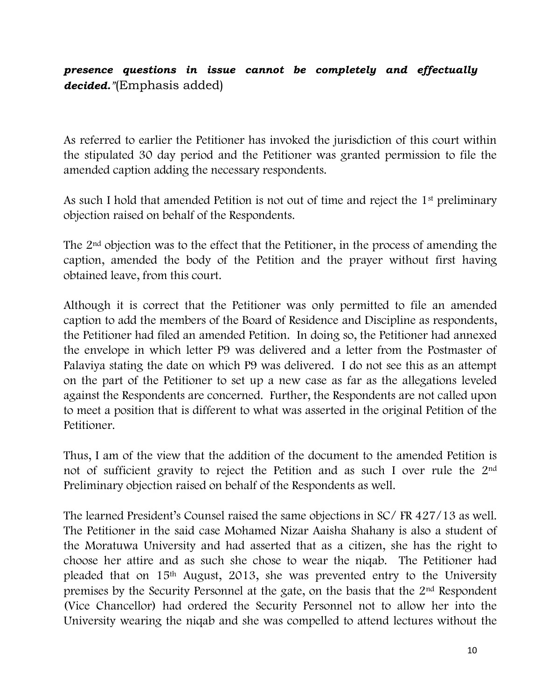# *presence questions in issue cannot be completely and effectually decided."*(Emphasis added)

As referred to earlier the Petitioner has invoked the jurisdiction of this court within the stipulated 30 day period and the Petitioner was granted permission to file the amended caption adding the necessary respondents.

As such I hold that amended Petition is not out of time and reject the 1<sup>st</sup> preliminary objection raised on behalf of the Respondents.

The 2nd objection was to the effect that the Petitioner, in the process of amending the caption, amended the body of the Petition and the prayer without first having obtained leave, from this court.

Although it is correct that the Petitioner was only permitted to file an amended caption to add the members of the Board of Residence and Discipline as respondents, the Petitioner had filed an amended Petition. In doing so, the Petitioner had annexed the envelope in which letter P9 was delivered and a letter from the Postmaster of Palaviya stating the date on which P9 was delivered. I do not see this as an attempt on the part of the Petitioner to set up a new case as far as the allegations leveled against the Respondents are concerned. Further, the Respondents are not called upon to meet a position that is different to what was asserted in the original Petition of the Petitioner.

Thus, I am of the view that the addition of the document to the amended Petition is not of sufficient gravity to reject the Petition and as such I over rule the 2nd Preliminary objection raised on behalf of the Respondents as well.

The learned President's Counsel raised the same objections in SC/FR 427/13 as well. The Petitioner in the said case Mohamed Nizar Aaisha Shahany is also a student of the Moratuwa University and had asserted that as a citizen, she has the right to choose her attire and as such she chose to wear the niqab. The Petitioner had pleaded that on 15th August, 2013, she was prevented entry to the University premises by the Security Personnel at the gate, on the basis that the 2nd Respondent (Vice Chancellor) had ordered the Security Personnel not to allow her into the University wearing the niqab and she was compelled to attend lectures without the